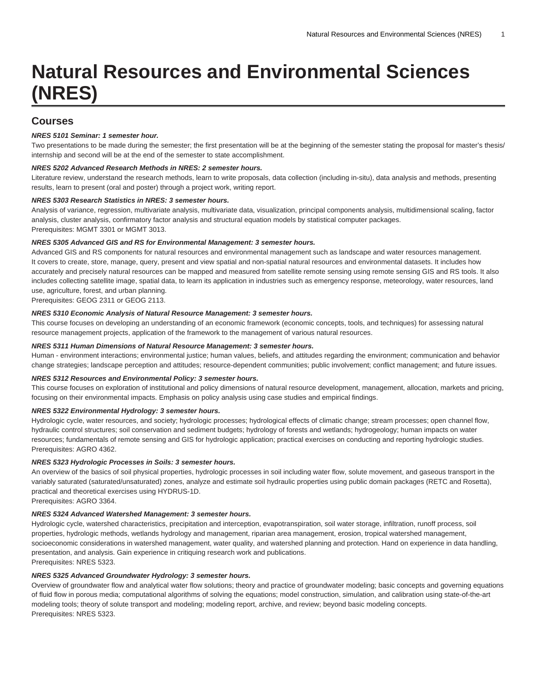# **Natural Resources and Environmental Sciences (NRES)**

# **Courses**

## **NRES 5101 Seminar: 1 semester hour.**

Two presentations to be made during the semester; the first presentation will be at the beginning of the semester stating the proposal for master's thesis/ internship and second will be at the end of the semester to state accomplishment.

# **NRES 5202 Advanced Research Methods in NRES: 2 semester hours.**

Literature review, understand the research methods, learn to write proposals, data collection (including in-situ), data analysis and methods, presenting results, learn to present (oral and poster) through a project work, writing report.

#### **NRES 5303 Research Statistics in NRES: 3 semester hours.**

Analysis of variance, regression, multivariate analysis, multivariate data, visualization, principal components analysis, multidimensional scaling, factor analysis, cluster analysis, confirmatory factor analysis and structural equation models by statistical computer packages. Prerequisites: [MGMT 3301](/search/?P=MGMT%203301) or MGMT 3013.

#### **NRES 5305 Advanced GIS and RS for Environmental Management: 3 semester hours.**

Advanced GIS and RS components for natural resources and environmental management such as landscape and water resources management. It covers to create, store, manage, query, present and view spatial and non-spatial natural resources and environmental datasets. It includes how accurately and precisely natural resources can be mapped and measured from satellite remote sensing using remote sensing GIS and RS tools. It also includes collecting satellite image, spatial data, to learn its application in industries such as emergency response, meteorology, water resources, land use, agriculture, forest, and urban planning.

Prerequisites: [GEOG 2311](/search/?P=GEOG%202311) or GEOG 2113.

#### **NRES 5310 Economic Analysis of Natural Resource Management: 3 semester hours.**

This course focuses on developing an understanding of an economic framework (economic concepts, tools, and techniques) for assessing natural resource management projects, application of the framework to the management of various natural resources.

#### **NRES 5311 Human Dimensions of Natural Resource Management: 3 semester hours.**

Human - environment interactions; environmental justice; human values, beliefs, and attitudes regarding the environment; communication and behavior change strategies; landscape perception and attitudes; resource-dependent communities; public involvement; conflict management; and future issues.

# **NRES 5312 Resources and Environmental Policy: 3 semester hours.**

This course focuses on exploration of institutional and policy dimensions of natural resource development, management, allocation, markets and pricing, focusing on their environmental impacts. Emphasis on policy analysis using case studies and empirical findings.

#### **NRES 5322 Environmental Hydrology: 3 semester hours.**

Hydrologic cycle, water resources, and society; hydrologic processes; hydrological effects of climatic change; stream processes; open channel flow, hydraulic control structures; soil conservation and sediment budgets; hydrology of forests and wetlands; hydrogeology; human impacts on water resources; fundamentals of remote sensing and GIS for hydrologic application; practical exercises on conducting and reporting hydrologic studies. Prerequisites: [AGRO 4362.](/search/?P=AGRO%204362)

#### **NRES 5323 Hydrologic Processes in Soils: 3 semester hours.**

An overview of the basics of soil physical properties, hydrologic processes in soil including water flow, solute movement, and gaseous transport in the variably saturated (saturated/unsaturated) zones, analyze and estimate soil hydraulic properties using public domain packages (RETC and Rosetta), practical and theoretical exercises using HYDRUS-1D.

Prerequisites: [AGRO 3364.](/search/?P=AGRO%203364)

## **NRES 5324 Advanced Watershed Management: 3 semester hours.**

Hydrologic cycle, watershed characteristics, precipitation and interception, evapotranspiration, soil water storage, infiltration, runoff process, soil properties, hydrologic methods, wetlands hydrology and management, riparian area management, erosion, tropical watershed management, socioeconomic considerations in watershed management, water quality, and watershed planning and protection. Hand on experience in data handling, presentation, and analysis. Gain experience in critiquing research work and publications. Prerequisites: [NRES 5323](/search/?P=NRES%205323).

#### **NRES 5325 Advanced Groundwater Hydrology: 3 semester hours.**

Overview of groundwater flow and analytical water flow solutions; theory and practice of groundwater modeling; basic concepts and governing equations of fluid flow in porous media; computational algorithms of solving the equations; model construction, simulation, and calibration using state-of-the-art modeling tools; theory of solute transport and modeling; modeling report, archive, and review; beyond basic modeling concepts. Prerequisites: [NRES 5323](/search/?P=NRES%205323).